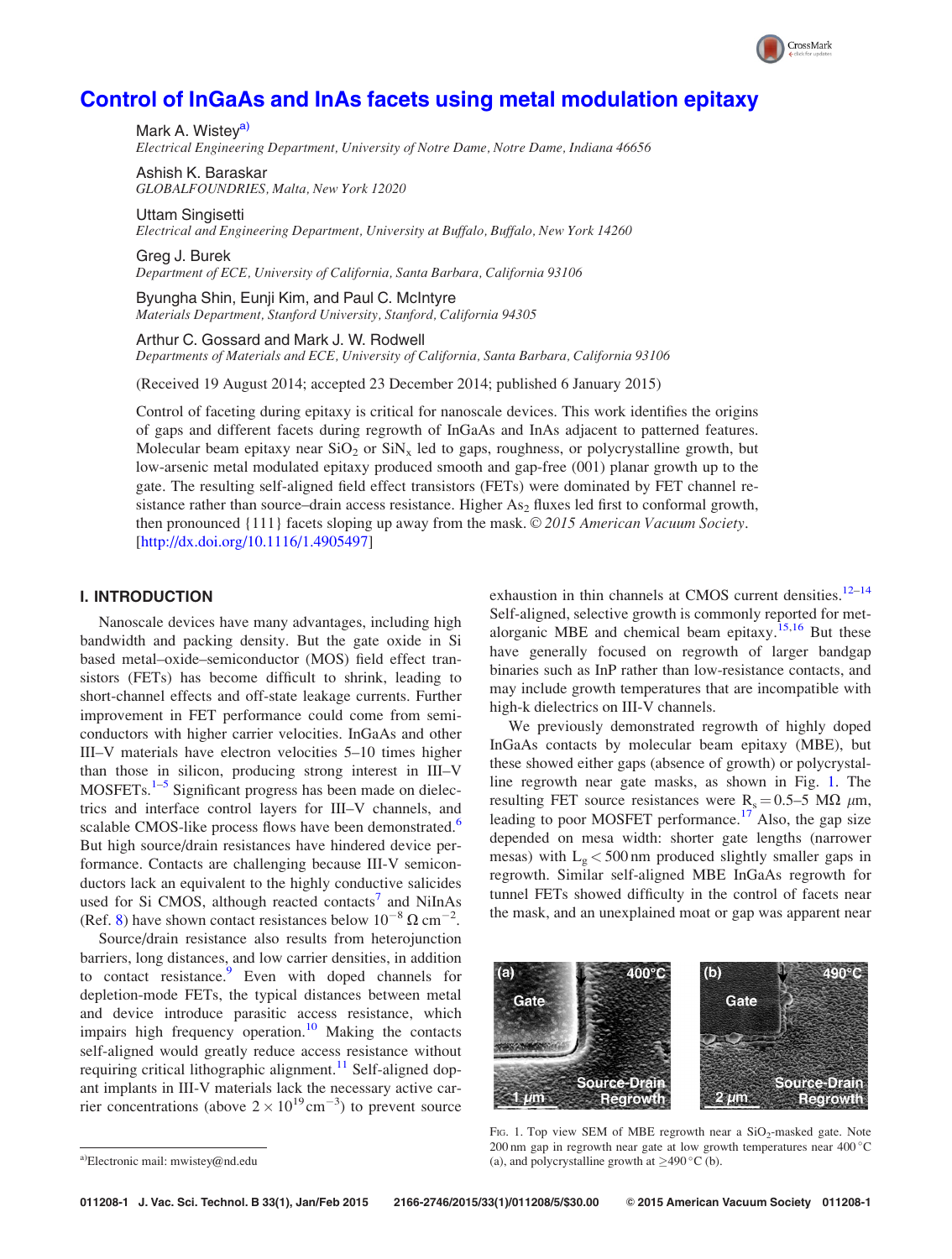# <span id="page-0-0"></span>[Control of InGaAs and InAs facets using metal modulation epitaxy](http://dx.doi.org/10.1116/1.4905497)

Mark A. Wistev<sup>a)</sup> Electrical Engineering Department, University of Notre Dame, Notre Dame, Indiana 46656

Ashish K. Baraskar GLOBALFOUNDRIES, Malta, New York 12020

Uttam Singisetti Electrical and Engineering Department, University at Buffalo, Buffalo, New York 14260

Greg J. Burek Department of ECE, University of California, Santa Barbara, California 93106

Byungha Shin, Eunji Kim, and Paul C. McIntyre Materials Department, Stanford University, Stanford, California 94305

Arthur C. Gossard and Mark J. W. Rodwell

Departments of Materials and ECE, University of California, Santa Barbara, California 93106

(Received 19 August 2014; accepted 23 December 2014; published 6 January 2015)

Control of faceting during epitaxy is critical for nanoscale devices. This work identifies the origins of gaps and different facets during regrowth of InGaAs and InAs adjacent to patterned features. Molecular beam epitaxy near  $SiO<sub>2</sub>$  or  $SiN<sub>x</sub>$  led to gaps, roughness, or polycrystalline growth, but low-arsenic metal modulated epitaxy produced smooth and gap-free (001) planar growth up to the gate. The resulting self-aligned field effect transistors (FETs) were dominated by FET channel resistance rather than source–drain access resistance. Higher  $As<sub>2</sub>$  fluxes led first to conformal growth, then pronounced  $\{111\}$  facets sloping up away from the mask. © 2015 American Vacuum Society. [[http://dx.doi.org/10.1116/1.4905497\]](http://dx.doi.org/10.1116/1.4905497)

# I. INTRODUCTION

Nanoscale devices have many advantages, including high bandwidth and packing density. But the gate oxide in Si based metal–oxide–semiconductor (MOS) field effect transistors (FETs) has become difficult to shrink, leading to short-channel effects and off-state leakage currents. Further improvement in FET performance could come from semiconductors with higher carrier velocities. InGaAs and other III–V materials have electron velocities 5–10 times higher than those in silicon, producing strong interest in III–V  $MOSFETs.<sup>1–5</sup>$  $MOSFETs.<sup>1–5</sup>$  $MOSFETs.<sup>1–5</sup>$  $MOSFETs.<sup>1–5</sup>$  $MOSFETs.<sup>1–5</sup>$  Significant progress has been made on dielectrics and interface control layers for III–V channels, and scalable CMOS-like process flows have been demonstrated.<sup>[6](#page-4-0)</sup> But high source/drain resistances have hindered device performance. Contacts are challenging because III-V semiconductors lack an equivalent to the highly conductive salicides used for Si CMOS, although reacted contacts<sup>[7](#page-4-0)</sup> and NiInAs (Ref. [8](#page-4-0)) have shown contact resistances below  $10^{-8} \Omega \text{ cm}^{-2}$ .

Source/drain resistance also results from heterojunction barriers, long distances, and low carrier densities, in addition to contact resistance.<sup>[9](#page-4-0)</sup> Even with doped channels for depletion-mode FETs, the typical distances between metal and device introduce parasitic access resistance, which impairs high frequency operation.<sup>[10](#page-4-0)</sup> Making the contacts self-aligned would greatly reduce access resistance without requiring critical lithographic alignment.<sup>[11](#page-4-0)</sup> Self-aligned dopant implants in III-V materials lack the necessary active carrier concentrations (above  $2 \times 10^{19}$  cm<sup>-3</sup>) to prevent source

exhaustion in thin channels at CMOS current densities.<sup>[12](#page-4-0)–[14](#page-4-0)</sup> Self-aligned, selective growth is commonly reported for metalorganic MBE and chemical beam epitaxy.<sup>15,16</sup> But these have generally focused on regrowth of larger bandgap binaries such as InP rather than low-resistance contacts, and may include growth temperatures that are incompatible with high-k dielectrics on III-V channels.

CrossMark

We previously demonstrated regrowth of highly doped InGaAs contacts by molecular beam epitaxy (MBE), but these showed either gaps (absence of growth) or polycrystalline regrowth near gate masks, as shown in Fig. 1. The resulting FET source resistances were  $R_s = 0.5-5$  M $\Omega$   $\mu$ m, leading to poor MOSFET performance.<sup>[17](#page-4-0)</sup> Also, the gap size depended on mesa width: shorter gate lengths (narrower mesas) with  $L_g < 500$  nm produced slightly smaller gaps in regrowth. Similar self-aligned MBE InGaAs regrowth for tunnel FETs showed difficulty in the control of facets near the mask, and an unexplained moat or gap was apparent near



FIG. 1. Top view SEM of MBE regrowth near a  $SiO<sub>2</sub>$ -masked gate. Note 200 nm gap in regrowth near gate at low growth temperatures near  $400^{\circ}$ C <sup>a)</sup>Electronic mail: [mwistey@nd.edu](mailto:mwistey@nd.edu) (a), and polycrystalline growth at  $\geq$ 490 °C (b).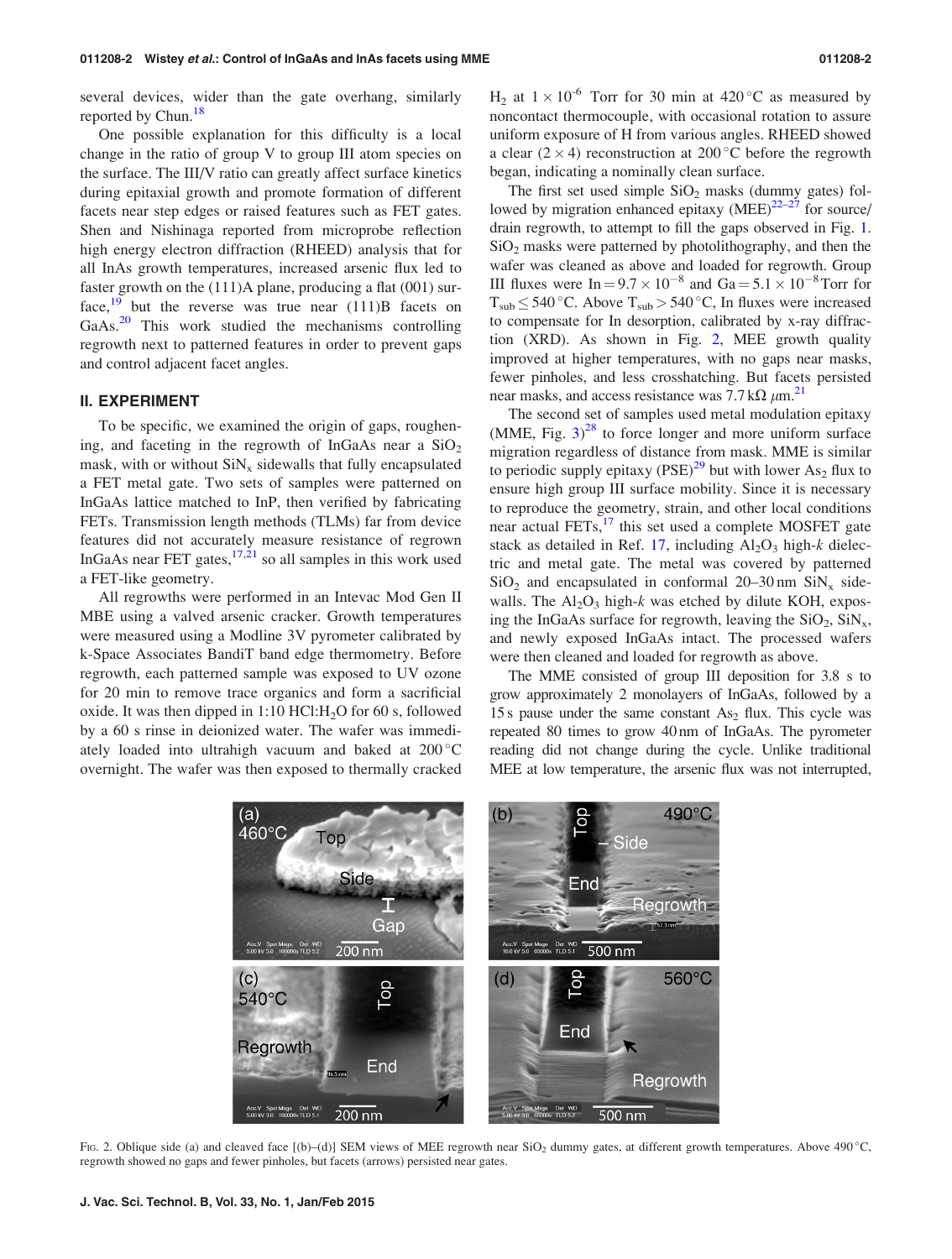<span id="page-1-0"></span>several devices, wider than the gate overhang, similarly reported by Chun.<sup>18</sup>

One possible explanation for this difficulty is a local change in the ratio of group V to group III atom species on the surface. The III/V ratio can greatly affect surface kinetics during epitaxial growth and promote formation of different facets near step edges or raised features such as FET gates. Shen and Nishinaga reported from microprobe reflection high energy electron diffraction (RHEED) analysis that for all InAs growth temperatures, increased arsenic flux led to faster growth on the (111)A plane, producing a flat (001) sur-face,<sup>[19](#page-4-0)</sup> but the reverse was true near  $(111)B$  facets on GaAs.<sup>[20](#page-4-0)</sup> This work studied the mechanisms controlling regrowth next to patterned features in order to prevent gaps and control adjacent facet angles.

#### II. EXPERIMENT

To be specific, we examined the origin of gaps, roughening, and faceting in the regrowth of InGaAs near a  $SiO<sub>2</sub>$ mask, with or without  $\sin x_x$  sidewalls that fully encapsulated a FET metal gate. Two sets of samples were patterned on InGaAs lattice matched to InP, then verified by fabricating FETs. Transmission length methods (TLMs) far from device features did not accurately measure resistance of regrown InGaAs near FET gates,  $17,21$  so all samples in this work used a FET-like geometry.

All regrowths were performed in an Intevac Mod Gen II MBE using a valved arsenic cracker. Growth temperatures were measured using a Modline 3V pyrometer calibrated by k-Space Associates BandiT band edge thermometry. Before regrowth, each patterned sample was exposed to UV ozone for 20 min to remove trace organics and form a sacrificial oxide. It was then dipped in  $1:10$  HCl:  $H<sub>2</sub>O$  for 60 s, followed by a 60 s rinse in deionized water. The wafer was immediately loaded into ultrahigh vacuum and baked at  $200^{\circ}$ C overnight. The wafer was then exposed to thermally cracked  $H_2$  at  $1 \times 10^{-6}$  Torr for 30 min at 420 °C as measured by noncontact thermocouple, with occasional rotation to assure uniform exposure of H from various angles. RHEED showed a clear  $(2 \times 4)$  reconstruction at 200 °C before the regrowth began, indicating a nominally clean surface.

The first set used simple  $SiO<sub>2</sub>$  masks (dummy gates) followed by migration enhanced epitaxy  $(MEE)^{22-27}$  for source/ drain regrowth, to attempt to fill the gaps observed in Fig. [1.](#page-0-0)  $SiO<sub>2</sub>$  masks were patterned by photolithography, and then the wafer was cleaned as above and loaded for regrowth. Group III fluxes were  $In = 9.7 \times 10^{-8}$  and  $Ga = 5.1 \times 10^{-8}$  Torr for  $T_{sub} \leq 540$  °C. Above  $T_{sub} > 540$  °C, In fluxes were increased to compensate for In desorption, calibrated by x-ray diffraction (XRD). As shown in Fig. 2, MEE growth quality improved at higher temperatures, with no gaps near masks, fewer pinholes, and less crosshatching. But facets persisted near masks, and access resistance was 7.7 k $\Omega \mu$ m.<sup>21</sup>

The second set of samples used metal modulation epitaxy  $(MME, Fig. 3)<sup>28</sup>$  $(MME, Fig. 3)<sup>28</sup>$  $(MME, Fig. 3)<sup>28</sup>$  $(MME, Fig. 3)<sup>28</sup>$  $(MME, Fig. 3)<sup>28</sup>$  to force longer and more uniform surface migration regardless of distance from mask. MME is similar to periodic supply epitaxy  $(PSE)^{29}$  $(PSE)^{29}$  $(PSE)^{29}$  but with lower As<sub>2</sub> flux to ensure high group III surface mobility. Since it is necessary to reproduce the geometry, strain, and other local conditions near actual  $FETs$ ,<sup>[17](#page-4-0)</sup> this set used a complete MOSFET gate stack as detailed in Ref. [17](#page-4-0), including  $Al_2O_3$  high-k dielectric and metal gate. The metal was covered by patterned  $SiO<sub>2</sub>$  and encapsulated in conformal 20–30 nm  $SiN<sub>x</sub>$  sidewalls. The  $Al_2O_3$  high-k was etched by dilute KOH, exposing the InGaAs surface for regrowth, leaving the  $SiO_2$ ,  $SiN_x$ , and newly exposed InGaAs intact. The processed wafers were then cleaned and loaded for regrowth as above.

The MME consisted of group III deposition for 3.8 s to grow approximately 2 monolayers of InGaAs, followed by a 15 s pause under the same constant  $As<sub>2</sub>$  flux. This cycle was repeated 80 times to grow 40 nm of InGaAs. The pyrometer reading did not change during the cycle. Unlike traditional MEE at low temperature, the arsenic flux was not interrupted,

FIG. 2. Oblique side (a) and cleaved face  $[(b)-(d)]$  SEM views of MEE regrowth near SiO<sub>2</sub> dummy gates, at different growth temperatures. Above 490 °C, regrowth showed no gaps and fewer pinholes, but facets (arrows) persisted near gates.

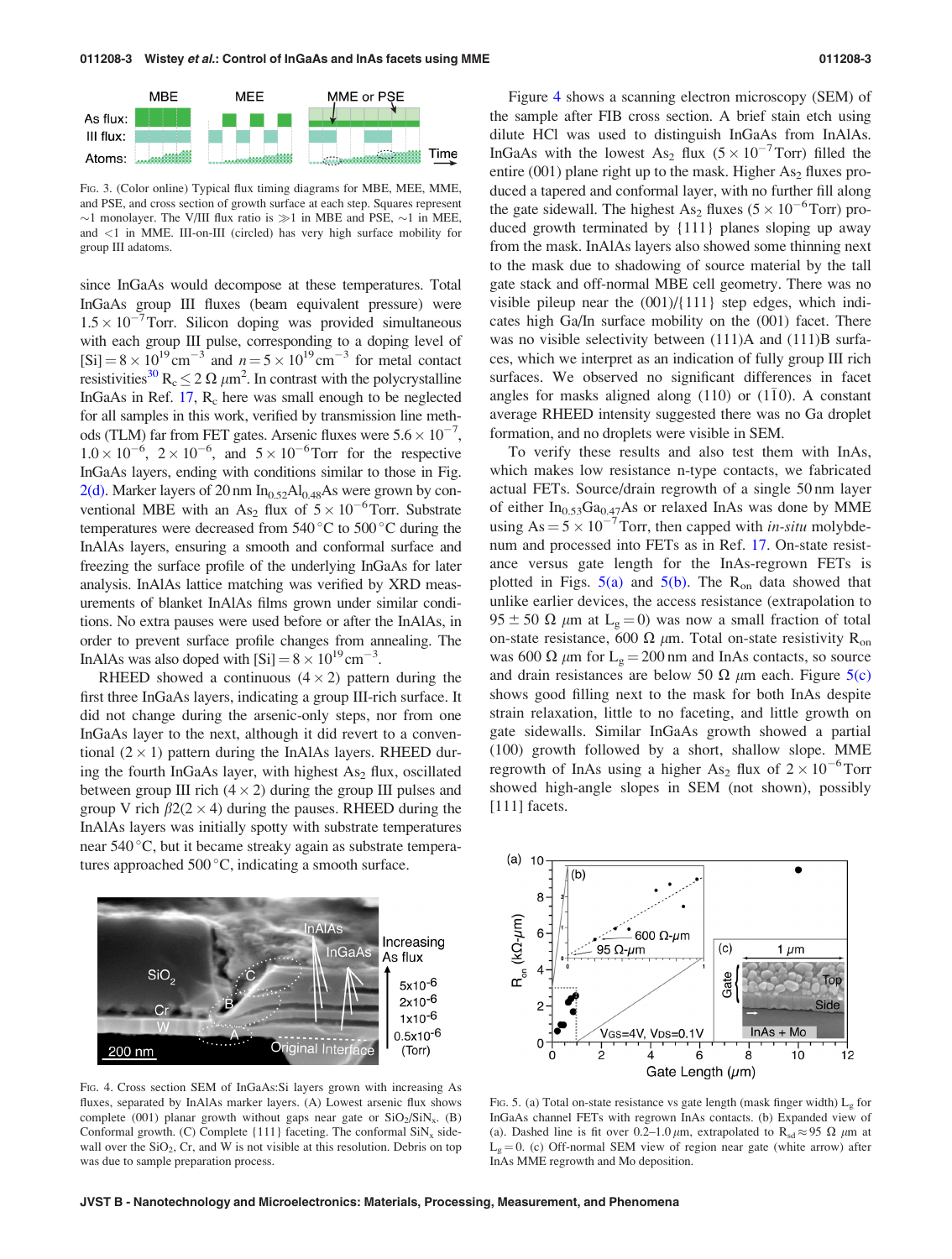<span id="page-2-0"></span>

FIG. 3. (Color online) Typical flux timing diagrams for MBE, MEE, MME, and PSE, and cross section of growth surface at each step. Squares represent  $\sim$ 1 monolayer. The V/III flux ratio is  $\gg$ 1 in MBE and PSE,  $\sim$ 1 in MEE, and <1 in MME. III-on-III (circled) has very high surface mobility for group III adatoms.

since InGaAs would decompose at these temperatures. Total InGaAs group III fluxes (beam equivalent pressure) were  $1.5 \times 10^{-7}$  Torr. Silicon doping was provided simultaneous with each group III pulse, corresponding to a doping level of  $[Si] = 8 \times 10^{19} \text{ cm}^{-3}$  and  $n = 5 \times 10^{19} \text{ cm}^{-3}$  for metal contact resistivities<sup>[30](#page-4-0)</sup> R<sub>c</sub>  $\leq$  2  $\Omega$   $\mu$ m<sup>2</sup>. In contrast with the polycrystalline InGaAs in Ref.  $17$ ,  $R_c$  here was small enough to be neglected for all samples in this work, verified by transmission line methods (TLM) far from FET gates. Arsenic fluxes were  $5.6 \times 10^{-7}$ ,  $1.0 \times 10^{-6}$ ,  $2 \times 10^{-6}$ , and  $5 \times 10^{-6}$  Torr for the respective InGaAs layers, ending with conditions similar to those in Fig.  $2(d)$ . Marker layers of 20 nm In<sub>0.52</sub>Al<sub>0.48</sub>As were grown by conventional MBE with an As<sub>2</sub> flux of  $5 \times 10^{-6}$ Torr. Substrate temperatures were decreased from  $540^{\circ}$ C to  $500^{\circ}$ C during the InAlAs layers, ensuring a smooth and conformal surface and freezing the surface profile of the underlying InGaAs for later analysis. InAlAs lattice matching was verified by XRD measurements of blanket InAlAs films grown under similar conditions. No extra pauses were used before or after the InAlAs, in order to prevent surface profile changes from annealing. The InAlAs was also doped with  $[Si] = 8 \times 10^{19}$  cm<sup>-3</sup>.

RHEED showed a continuous  $(4 \times 2)$  pattern during the first three InGaAs layers, indicating a group III-rich surface. It did not change during the arsenic-only steps, nor from one InGaAs layer to the next, although it did revert to a conventional  $(2 \times 1)$  pattern during the InAlAs layers. RHEED during the fourth InGaAs layer, with highest  $As<sub>2</sub> flux$ , oscillated between group III rich  $(4 \times 2)$  during the group III pulses and group V rich  $\beta$ 2(2  $\times$  4) during the pauses. RHEED during the InAlAs layers was initially spotty with substrate temperatures near 540 °C, but it became streaky again as substrate temperatures approached  $500^{\circ}$ C, indicating a smooth surface.



FIG. 4. Cross section SEM of InGaAs:Si layers grown with increasing As fluxes, separated by InAlAs marker layers. (A) Lowest arsenic flux shows complete (001) planar growth without gaps near gate or  $SiO<sub>2</sub>/SiN<sub>x</sub>$ . (B) Conformal growth. (C) Complete  $\{111\}$  faceting. The conformal  $\text{SiN}_x$  sidewall over the  $SiO<sub>2</sub>$ , Cr, and W is not visible at this resolution. Debris on top was due to sample preparation process.

Figure 4 shows a scanning electron microscopy (SEM) of the sample after FIB cross section. A brief stain etch using dilute HCl was used to distinguish InGaAs from InAlAs. InGaAs with the lowest As<sub>2</sub> flux  $(5 \times 10^{-7} \text{ Torr})$  filled the entire (001) plane right up to the mask. Higher  $As<sub>2</sub>$  fluxes produced a tapered and conformal layer, with no further fill along the gate sidewall. The highest As<sub>2</sub> fluxes ( $5 \times 10^{-6}$ Torr) produced growth terminated by {111} planes sloping up away from the mask. InAlAs layers also showed some thinning next to the mask due to shadowing of source material by the tall gate stack and off-normal MBE cell geometry. There was no visible pileup near the (001)/{111} step edges, which indicates high Ga/In surface mobility on the (001) facet. There was no visible selectivity between  $(111)$ A and  $(111)$ B surfaces, which we interpret as an indication of fully group III rich surfaces. We observed no significant differences in facet angles for masks aligned along (110) or (110). A constant average RHEED intensity suggested there was no Ga droplet formation, and no droplets were visible in SEM.

To verify these results and also test them with InAs, which makes low resistance n-type contacts, we fabricated actual FETs. Source/drain regrowth of a single 50 nm layer of either  $In<sub>0.53</sub>Ga<sub>0.47</sub>As$  or relaxed InAs was done by MME using  $As = 5 \times 10^{-7}$  Torr, then capped with *in-situ* molybdenum and processed into FETs as in Ref. [17](#page-4-0). On-state resistance versus gate length for the InAs-regrown FETs is plotted in Figs.  $5(a)$  and  $5(b)$ . The R<sub>on</sub> data showed that unlike earlier devices, the access resistance (extrapolation to  $95 \pm 50 \Omega$  µm at L<sub>g</sub> = 0) was now a small fraction of total on-state resistance, 600  $\Omega$   $\mu$ m. Total on-state resistivity R<sub>on</sub> was 600  $\Omega$   $\mu$ m for L<sub>g</sub> = 200 nm and InAs contacts, so source and drain resistances are below 50  $\Omega$   $\mu$ m each. Figure 5(c) shows good filling next to the mask for both InAs despite strain relaxation, little to no faceting, and little growth on gate sidewalls. Similar InGaAs growth showed a partial (100) growth followed by a short, shallow slope. MME regrowth of InAs using a higher As<sub>2</sub> flux of  $2 \times 10^{-6}$ Torr showed high-angle slopes in SEM (not shown), possibly [111] facets.



FIG. 5. (a) Total on-state resistance vs gate length (mask finger width)  $L_g$  for InGaAs channel FETs with regrown InAs contacts. (b) Expanded view of (a). Dashed line is fit over 0.2–1.0  $\mu$ m, extrapolated to R<sub>sd</sub>  $\approx$  95  $\Omega$   $\mu$ m at  $L_g = 0$ . (c) Off-normal SEM view of region near gate (white arrow) after InAs MME regrowth and Mo deposition.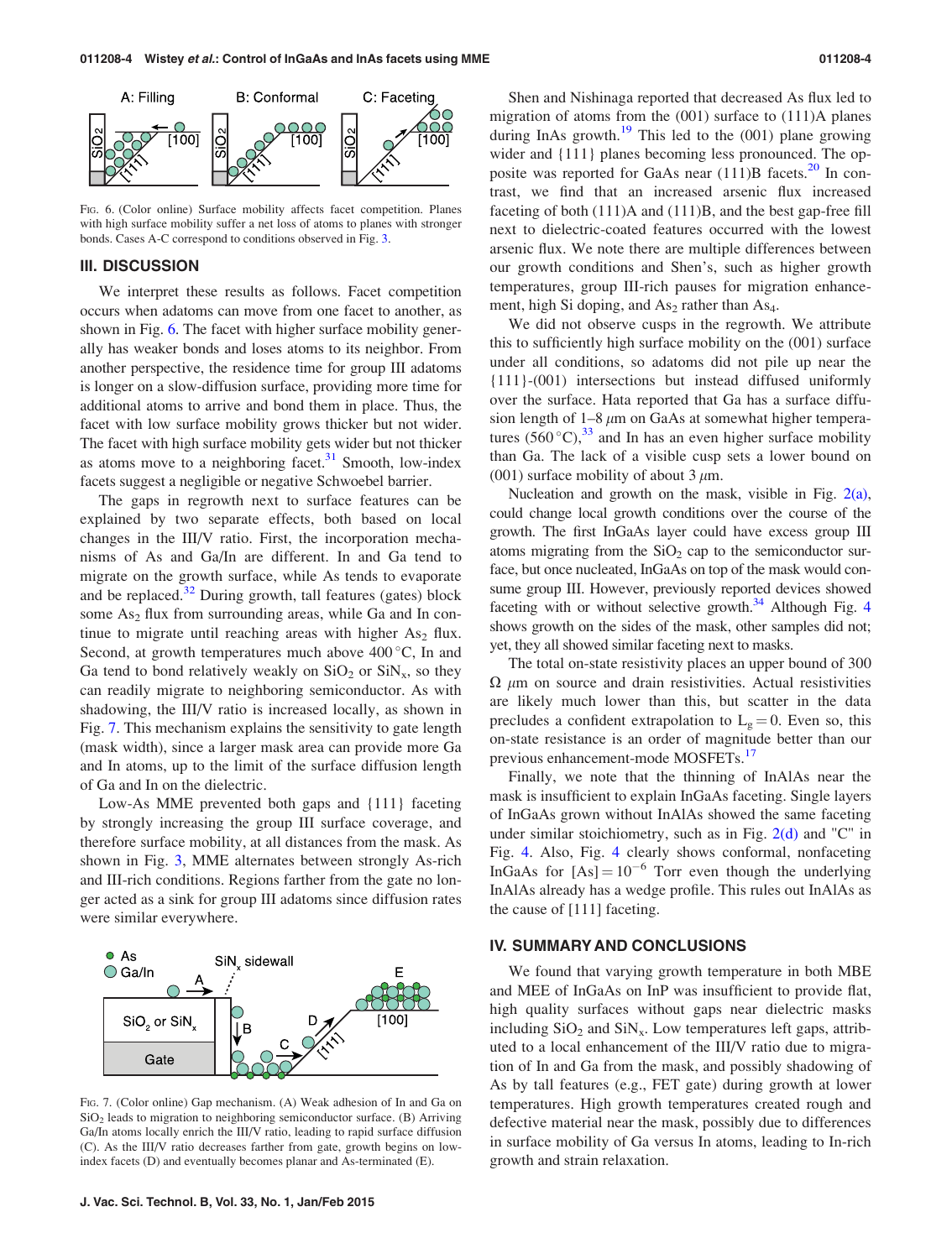

FIG. 6. (Color online) Surface mobility affects facet competition. Planes with high surface mobility suffer a net loss of atoms to planes with stronger bonds. Cases A-C correspond to conditions observed in Fig. [3.](#page-2-0)

### III. DISCUSSION

We interpret these results as follows. Facet competition occurs when adatoms can move from one facet to another, as shown in Fig. 6. The facet with higher surface mobility generally has weaker bonds and loses atoms to its neighbor. From another perspective, the residence time for group III adatoms is longer on a slow-diffusion surface, providing more time for additional atoms to arrive and bond them in place. Thus, the facet with low surface mobility grows thicker but not wider. The facet with high surface mobility gets wider but not thicker as atoms move to a neighboring facet. $31$  Smooth, low-index facets suggest a negligible or negative Schwoebel barrier.

The gaps in regrowth next to surface features can be explained by two separate effects, both based on local changes in the III/V ratio. First, the incorporation mechanisms of As and Ga/In are different. In and Ga tend to migrate on the growth surface, while As tends to evaporate and be replaced. $32$  During growth, tall features (gates) block some  $As<sub>2</sub>$  flux from surrounding areas, while Ga and In continue to migrate until reaching areas with higher  $As<sub>2</sub>$  flux. Second, at growth temperatures much above  $400^{\circ}$ C, In and Ga tend to bond relatively weakly on  $SiO<sub>2</sub>$  or  $SiN<sub>x</sub>$ , so they can readily migrate to neighboring semiconductor. As with shadowing, the III/V ratio is increased locally, as shown in Fig. 7. This mechanism explains the sensitivity to gate length (mask width), since a larger mask area can provide more Ga and In atoms, up to the limit of the surface diffusion length of Ga and In on the dielectric.

Low-As MME prevented both gaps and {111} faceting by strongly increasing the group III surface coverage, and therefore surface mobility, at all distances from the mask. As shown in Fig. [3](#page-2-0), MME alternates between strongly As-rich and III-rich conditions. Regions farther from the gate no longer acted as a sink for group III adatoms since diffusion rates were similar everywhere.



FIG. 7. (Color online) Gap mechanism. (A) Weak adhesion of In and Ga on  $SiO<sub>2</sub>$  leads to migration to neighboring semiconductor surface. (B) Arriving Ga/In atoms locally enrich the III/V ratio, leading to rapid surface diffusion (C). As the III/V ratio decreases farther from gate, growth begins on lowindex facets (D) and eventually becomes planar and As-terminated (E).

Shen and Nishinaga reported that decreased As flux led to migration of atoms from the (001) surface to (111)A planes during InAs growth.<sup>[19](#page-4-0)</sup> This led to the  $(001)$  plane growing wider and {111} planes becoming less pronounced. The opposite was reported for GaAs near  $(111)B$  facets.<sup>[20](#page-4-0)</sup> In contrast, we find that an increased arsenic flux increased faceting of both (111)A and (111)B, and the best gap-free fill next to dielectric-coated features occurred with the lowest arsenic flux. We note there are multiple differences between our growth conditions and Shen's, such as higher growth temperatures, group III-rich pauses for migration enhancement, high Si doping, and  $As<sub>2</sub>$  rather than  $As<sub>4</sub>$ .

We did not observe cusps in the regrowth. We attribute this to sufficiently high surface mobility on the (001) surface under all conditions, so adatoms did not pile up near the {111}-(001) intersections but instead diffused uniformly over the surface. Hata reported that Ga has a surface diffusion length of  $1-8 \mu m$  on GaAs at somewhat higher temperatures  $(560 °C)$ ,<sup>[33](#page-4-0)</sup> and In has an even higher surface mobility than Ga. The lack of a visible cusp sets a lower bound on (001) surface mobility of about 3  $\mu$ m.

Nucleation and growth on the mask, visible in Fig. [2\(a\),](#page-1-0) could change local growth conditions over the course of the growth. The first InGaAs layer could have excess group III atoms migrating from the  $SiO<sub>2</sub>$  cap to the semiconductor surface, but once nucleated, InGaAs on top of the mask would consume group III. However, previously reported devices showed faceting with or without selective growth. $34$  $34$  Although Fig. 4 shows growth on the sides of the mask, other samples did not; yet, they all showed similar faceting next to masks.

The total on-state resistivity places an upper bound of 300  $\Omega$   $\mu$ m on source and drain resistivities. Actual resistivities are likely much lower than this, but scatter in the data precludes a confident extrapolation to  $L_g = 0$ . Even so, this on-state resistance is an order of magnitude better than our previous enhancement-mode MOSFETs.<sup>[17](#page-4-0)</sup>

Finally, we note that the thinning of InAlAs near the mask is insufficient to explain InGaAs faceting. Single layers of InGaAs grown without InAlAs showed the same faceting under similar stoichiometry, such as in Fig.  $2(d)$  and "C" in Fig. [4](#page-2-0). Also, Fig. [4](#page-2-0) clearly shows conformal, nonfaceting InGaAs for  $[As] = 10^{-6}$  Torr even though the underlying InAlAs already has a wedge profile. This rules out InAlAs as the cause of [111] faceting.

### IV. SUMMARY AND CONCLUSIONS

We found that varying growth temperature in both MBE and MEE of InGaAs on InP was insufficient to provide flat, high quality surfaces without gaps near dielectric masks including  $SiO<sub>2</sub>$  and  $SiN<sub>x</sub>$ . Low temperatures left gaps, attributed to a local enhancement of the III/V ratio due to migration of In and Ga from the mask, and possibly shadowing of As by tall features (e.g., FET gate) during growth at lower temperatures. High growth temperatures created rough and defective material near the mask, possibly due to differences in surface mobility of Ga versus In atoms, leading to In-rich growth and strain relaxation.